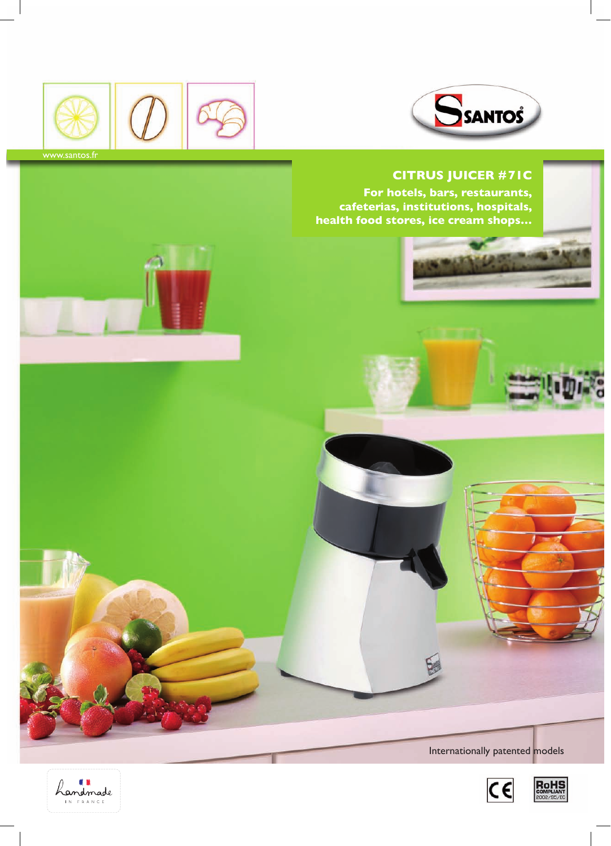



## **Citrus Juicer #71C**

**For hotels, bars, restaurants, cafeterias, institutions, hospitals, health food stores, ice cream shops…**



Internationally patented models





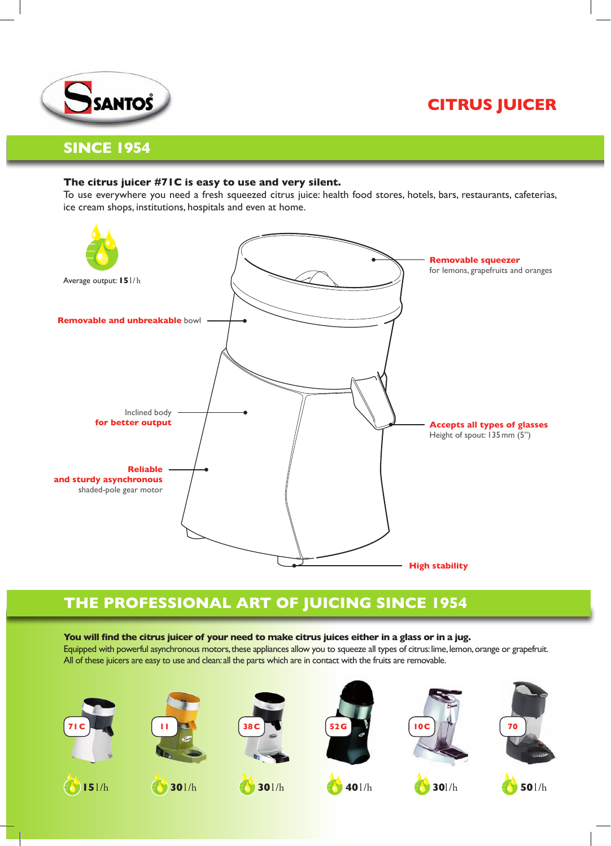



## **Since 1954**

## **The citrus juicer #71C is easy to use and very silent.**

To use everywhere you need a fresh squeezed citrus juice: health food stores, hotels, bars, restaurants, cafeterias, ice cream shops, institutions, hospitals and even at home.



# **The professional art of juicing since 1954**

### You will find the citrus juicer of your need to make citrus juices either in a glass or in a jug.

Equipped with powerful asynchronous motors, these appliances allow you to squeeze all types of citrus: lime, lemon, orange or grapefruit. All of these juicers are easy to use and clean: all the parts which are in contact with the fruits are removable.











**15**l/h **30**l/h **30**l/h **40**l/h **30**l/h **50**l/h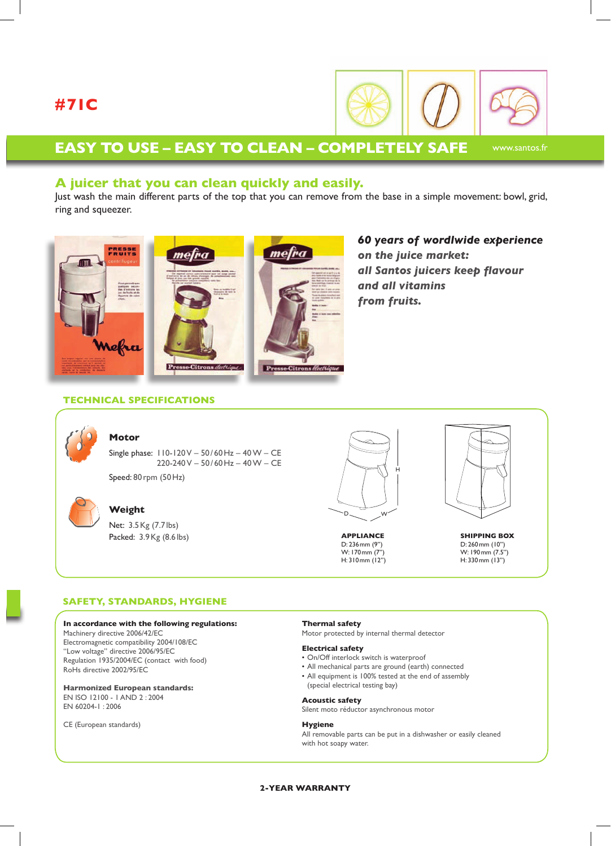# **#71C**



www.santos.fr

## **Easy to use – Easy to clean – Completely safe**

## **A juicer that you can clean quickly and easily.**

Just wash the main different parts of the top that you can remove from the base in a simple movement: bowl, grid, ring and squeezer.



*60 years of wordlwide experience on the juice market: all Santos juicers keep flavour and all vitamins from fruits.*

### **Technical specifications**



### **Motor**

Single phase: 110-120 V – 50/ 60Hz – 40 W – CE  $220 - 240 V - 50 / 60 Hz - 40 W - CE$ Speed: 80rpm (50Hz)



### **Weight**

Net: 3.5Kg (7.7 lbs) Packed: 3.9Kg (8.6 lbs)



**APPLIANCE** D: 236mm (9'') W: 170mm (7'') H: 310mm (12'')



**SHIPPING BOX** D: 260mm (10'') W: 190mm (7.5'') H: 330mm (13'')

#### **Safety, Standards, Hygiene**

#### **In accordance with the following regulations:**

Machinery directive 2006/42/EC Electromagnetic compatibility 2004/108/EC ''Low voltage'' directive 2006/95/EC Regulation 1935/2004/EC (contact with food) RoHs directive 2002/95/EC

**Harmonized European standards:** EN ISO 12100 - 1 AND 2 : 2004 EN 60204-1 : 2006

CE (European standards)

#### **Thermal safety**

Motor protected by internal thermal detector

#### **Electrical safety**

- On/Off interlock switch is waterproof
- All mechanical parts are ground (earth) connected
- All equipment is 100% tested at the end of assembly (special electrical testing bay)

#### **Acoustic safety**

Silent moto réductor asynchronous motor

#### **Hygiene**

All removable parts can be put in a dishwasher or easily cleaned with hot soapy water.

#### **2-YEAR WARRANTY**